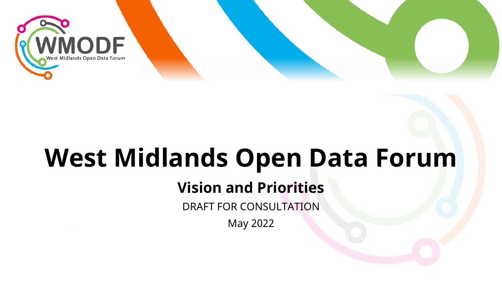

# **West Midlands Open Data Forum**

### **Vision and Priorities**

DRAFT FOR CONSULTATION

May 2022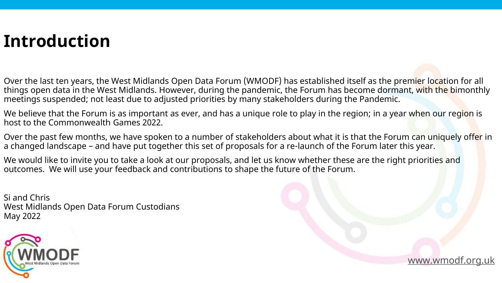### **Introduction**

Over the last ten years, the West Midlands Open Data Forum (WMODF) has established itself as the premier location for all things open data in the West Midlands. However, during the pandemic, the Forum has become dormant, with the bimonthly meetings suspended; not least due to adjusted priorities by many stakeholders during the Pandemic.

We believe that the Forum is as important as ever, and has a unique role to play in the region; in a year when our region is host to the Commonwealth Games 2022.

Over the past few months, we have spoken to a number of stakeholders about what it is that the Forum can uniquely offer in a changed landscape – and have put together this set of proposals for a re-launch of the Forum later this year.

[www.wmodf.org.uk](http://www.wmodf.org.uk/)

We would like to invite you to take a look at our proposals, and let us know whether these are the right priorities and outcomes. We will use your feedback and contributions to shape the future of the Forum.

Si and Chris West Midlands Open Data Forum Custodians May 2022

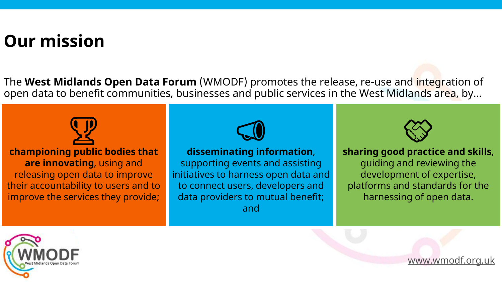### **Our mission**

The **West Midlands Open Data Forum** (WMODF) promotes the release, re-use and integration of open data to benefit communities, businesses and public services in the West Midlands area, by...



**championing public bodies that are innovating**, using and releasing open data to improve their accountability to users and to improve the services they provide;



#### **disseminating information** ,

supporting events and assisting initiatives to harness open data and to connect users, developers and data providers to mutual benefit; and



**sharing good practice and skills** , guiding and reviewing the development of expertise, platforms and standards for the harnessing of open data.



[www.wmodf.org.uk](http://www.wmodf.org.uk/)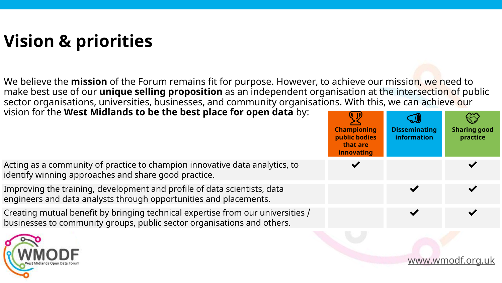# **Vision & priorities**

We believe the **mission** of the Forum remains fit for purpose. However, to achieve our mission, we need to make best use of our **unique selling proposition** as an independent organisation at the intersection of public sector organisations, universities, businesses, and community organisations. With this, we can achieve our vision for the **West Midlands to be the best place for open data** by:

| VISION TOT THE WEST MIDIATION TO DE THE DEST PIACE TOT OPEN DATA DY.                                                                                       | $\left( \begin{matrix} 0 & 1 \end{matrix} \right)$<br><b>Championing</b><br>public bodies<br>that are<br>innovating | <b>Disseminating</b><br>information | <b>Sharing good</b><br>practice |
|------------------------------------------------------------------------------------------------------------------------------------------------------------|---------------------------------------------------------------------------------------------------------------------|-------------------------------------|---------------------------------|
| Acting as a community of practice to champion innovative data analytics, to<br>identify winning approaches and share good practice.                        |                                                                                                                     |                                     |                                 |
| Improving the training, development and profile of data scientists, data<br>engineers and data analysts through opportunities and placements.              |                                                                                                                     |                                     |                                 |
| Creating mutual benefit by bringing technical expertise from our universities /<br>businesses to community groups, public sector organisations and others. |                                                                                                                     |                                     |                                 |
|                                                                                                                                                            |                                                                                                                     |                                     |                                 |



[www.wmodf.org.uk](http://www.wmodf.org.uk/)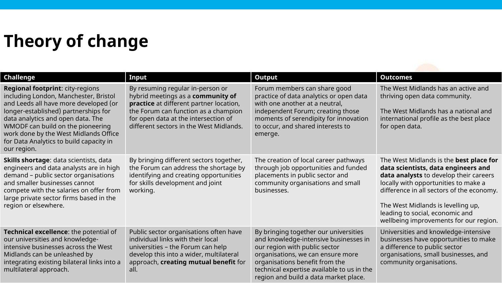# **Theory of change**

|                                                                                                                                                                                                                                                                                                                                                |                                                                                                                                                                                                                                             |                                                                                                                                                                                                                                                                               | <b>Outcomes</b>                                                                                                                                                                                                                                                                                                                  |
|------------------------------------------------------------------------------------------------------------------------------------------------------------------------------------------------------------------------------------------------------------------------------------------------------------------------------------------------|---------------------------------------------------------------------------------------------------------------------------------------------------------------------------------------------------------------------------------------------|-------------------------------------------------------------------------------------------------------------------------------------------------------------------------------------------------------------------------------------------------------------------------------|----------------------------------------------------------------------------------------------------------------------------------------------------------------------------------------------------------------------------------------------------------------------------------------------------------------------------------|
| <b>Challenge</b>                                                                                                                                                                                                                                                                                                                               | Input                                                                                                                                                                                                                                       | <b>Output</b>                                                                                                                                                                                                                                                                 |                                                                                                                                                                                                                                                                                                                                  |
| <b>Regional footprint: city-regions</b><br>including London, Manchester, Bristol<br>and Leeds all have more developed (or<br>longer-established) partnerships for<br>data analytics and open data. The<br>WMODF can build on the pioneering<br>work done by the West Midlands Office<br>for Data Analytics to build capacity in<br>our region. | By resuming regular in-person or<br>hybrid meetings as a community of<br>practice at different partner location,<br>the Forum can function as a champion<br>for open data at the intersection of<br>different sectors in the West Midlands. | Forum members can share good<br>practice of data analytics or open data<br>with one another at a neutral,<br>independent Forum; creating those<br>moments of serendipity for innovation<br>to occur, and shared interests to<br>emerge.                                       | The West Midlands has an active and<br>thriving open data community.<br>The West Midlands has a national and<br>international profile as the best place<br>for open data.                                                                                                                                                        |
| Skills shortage: data scientists, data<br>engineers and data analysts are in high<br>demand - public sector organisations<br>and smaller businesses cannot<br>compete with the salaries on offer from<br>large private sector firms based in the<br>region or elsewhere.                                                                       | By bringing different sectors together,<br>the Forum can address the shortage by<br>identifying and creating opportunities<br>for skills development and joint<br>working.                                                                  | The creation of local career pathways<br>through job opportunities and funded<br>placements in public sector and<br>community organisations and small<br>businesses.                                                                                                          | The West Midlands is the best place for<br>data scientists, data engineers and<br>data analysts to develop their careers<br>locally with opportunities to make a<br>difference in all sectors of the economy.<br>The West Midlands is levelling up,<br>leading to social, economic and<br>wellbeing improvements for our region. |
| Technical excellence: the potential of<br>our universities and knowledge-<br>intensive businesses across the West<br>Midlands can be unleashed by<br>integrating existing bilateral links into a<br>multilateral approach.                                                                                                                     | Public sector organisations often have<br>individual links with their local<br>universities - the Forum can help<br>develop this into a wider, multilateral<br>approach, creating mutual benefit for<br>all.                                | By bringing together our universities<br>and knowledge-intensive businesses in<br>our region with public sector<br>organisations, we can ensure more<br>organisations benefit from the<br>technical expertise available to us in the<br>region and build a data market place. | Universities and knowledge-intensive<br>businesses have opportunities to make<br>a difference to public sector<br>organisations, small businesses, and<br>community organisations.                                                                                                                                               |